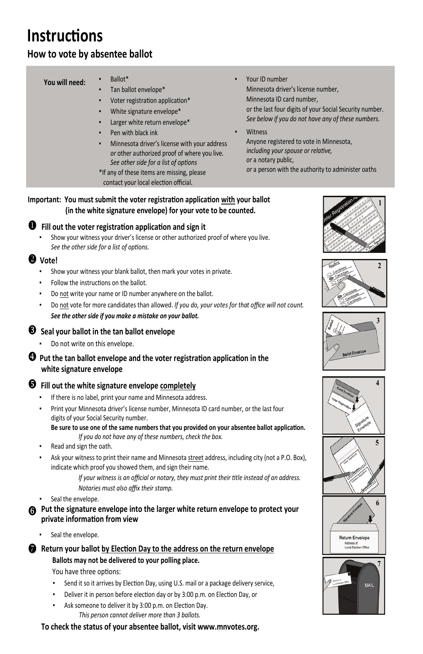#### **Important: You must submit the voter registration application with your ballot (in the white signature envelope) for your vote to be counted.**

Show your witness your driver's license or other authorized proof of where you live.  *See the other side for a list of op�ons.* 



- Show your witness your blank ballot, then mark your votes in private.
- Follow the instructions on the ballot.
- Do not write your name or ID number anywhere on the ballot.
- Do not vote for more candidates than allowed. *If you do, your votes for that office will not count. See the other side if you make a mistake on your ballot.*

## $\bullet$  Seal your ballot in the tan ballot envelope

Do not write on this envelope.

## **Vote!**

### $\bullet$  Put the tan ballot envelope and the voter registration application in the  **white signature envelope**

## $\Theta$  Fill out the white signature envelope completely

- If there is no label, print your name and Minnesota address.
- Print your Minnesota driver's license number, Minnesota ID card number, or the last four digits of your Social Security number.

Be sure to use one of the same numbers that you provided on your absentee ballot application.  *If you do not have any of these numbers, check the box.*

- Read and sign the oath.
- Ask your witness to print their name and Minnesota street address, including city (not a P.O. Box), indicate which proof you showed them, and sign their name.
- Ballot\*
- Tan ballot envelope\*
- Voter registration application\* White signature envelope\*
- Larger white return envelope\*
- Pen with black ink
- Minnesota driver's license with your address *or* other authorized proof of where you live. *See other side for a list of op�ons*
- \*If any of these items are missing, please contact your local election official.
- Your ID number Minnesota driver's license number, Minnesota ID card number, or the last four digits of your Social Security number. *See below if you do not have any of these numbers.*
	- **Witness**  Anyone registered to vote in Minnesota, *including your spouse or relative, or* a notary public, *or* a person with the authority to administer oaths

 *If your witness is an official or notary, they must print their �tle instead of an address.* 

- *Notaries must also affix their stamp.*
- Seal the envelope.
- **Put the signature envelope into the larger white return envelope to protect your private informaƟon from view**
	- Seal the envelope.
- **Return your ballot by Election Day to the address on the return envelope Ballots may not be delivered to your polling place.** You have three options:
	- Send it so it arrives by Election Day, using U.S. mail or a package delivery service,
	- Deliver it in person before election day or by 3:00 p.m. on Election Day, or
	- **Ask someone to deliver it by 3:00 p.m. on Election Day.** *This person cannot deliver more than 3 ballots.*
	- **To check the status of your absentee ballot, visit www.mnvotes.org.**

#### **You will need:**

# **InstrucƟons**

## **How to vote by absentee ballot**